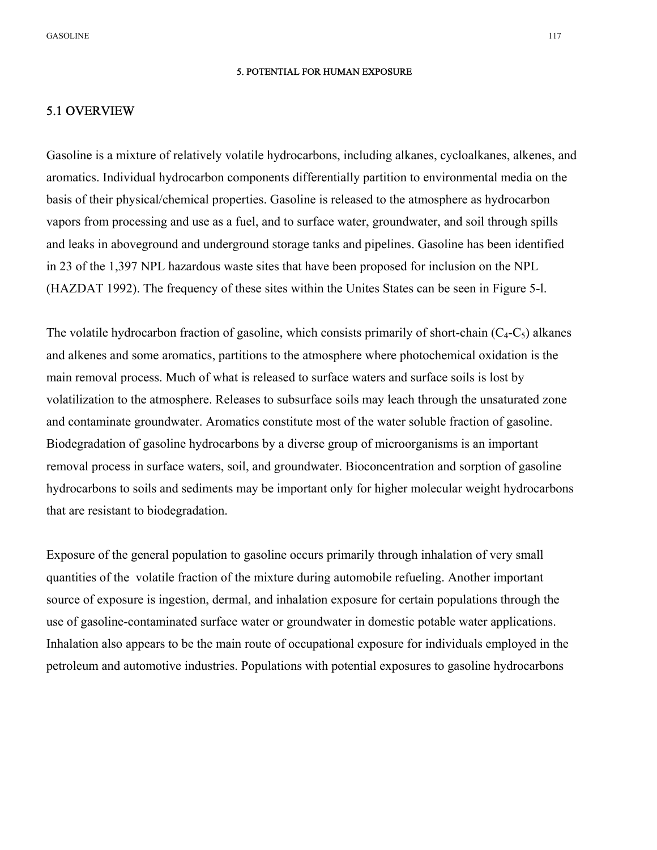## 5.1 OVERVIEW

Gasoline is a mixture of relatively volatile hydrocarbons, including alkanes, cycloalkanes, alkenes, and aromatics. Individual hydrocarbon components differentially partition to environmental media on the basis of their physical/chemical properties. Gasoline is released to the atmosphere as hydrocarbon vapors from processing and use as a fuel, and to surface water, groundwater, and soil through spills and leaks in aboveground and underground storage tanks and pipelines. Gasoline has been identified in 23 of the 1,397 NPL hazardous waste sites that have been proposed for inclusion on the NPL (HAZDAT 1992). The frequency of these sites within the Unites States can be seen in Figure 5-l.

The volatile hydrocarbon fraction of gasoline, which consists primarily of short-chain  $(C_4-C_5)$  alkanes and alkenes and some aromatics, partitions to the atmosphere where photochemical oxidation is the main removal process. Much of what is released to surface waters and surface soils is lost by volatilization to the atmosphere. Releases to subsurface soils may leach through the unsaturated zone and contaminate groundwater. Aromatics constitute most of the water soluble fraction of gasoline. Biodegradation of gasoline hydrocarbons by a diverse group of microorganisms is an important removal process in surface waters, soil, and groundwater. Bioconcentration and sorption of gasoline hydrocarbons to soils and sediments may be important only for higher molecular weight hydrocarbons that are resistant to biodegradation.

Exposure of the general population to gasoline occurs primarily through inhalation of very small quantities of the volatile fraction of the mixture during automobile refueling. Another important source of exposure is ingestion, dermal, and inhalation exposure for certain populations through the use of gasoline-contaminated surface water or groundwater in domestic potable water applications. Inhalation also appears to be the main route of occupational exposure for individuals employed in the petroleum and automotive industries. Populations with potential exposures to gasoline hydrocarbons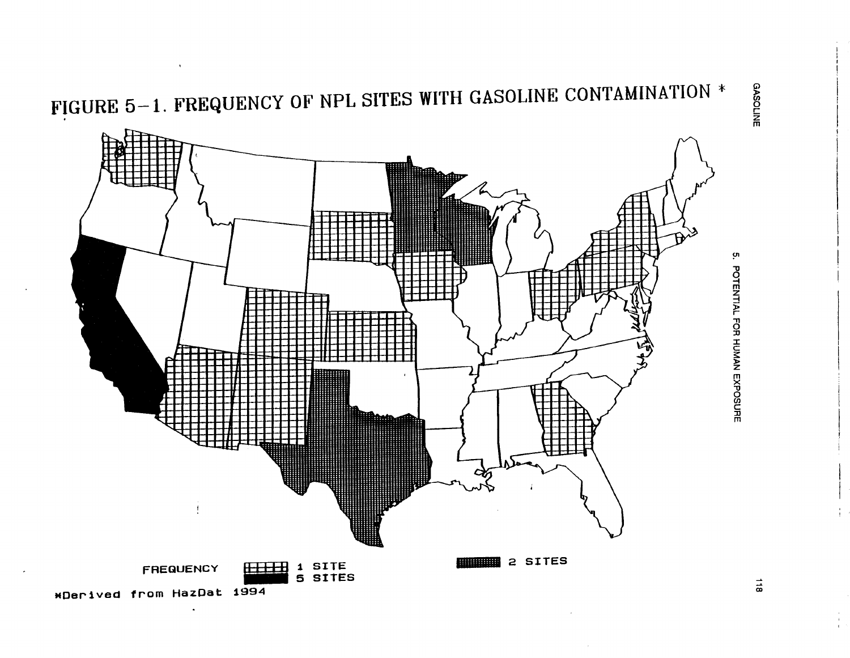

# FIGURE 5-1. FREQUENCY OF NPL SITES WITH GASOLINE CONTAMINATION \*

**GASOLINE** 

 $\frac{1}{8}$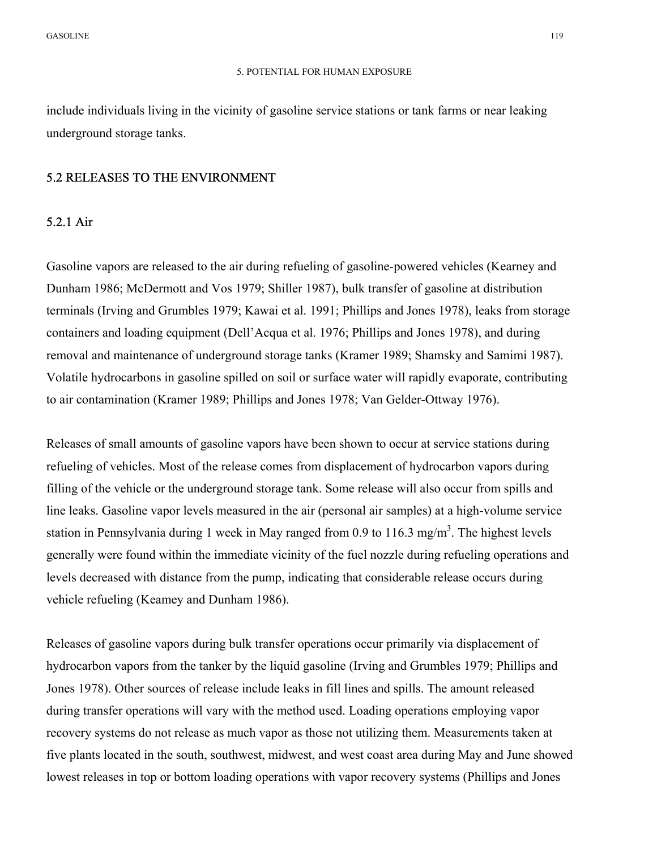include individuals living in the vicinity of gasoline service stations or tank farms or near leaking underground storage tanks.

# 5.2 RELEASES TO THE ENVIRONMENT

# 5.2.1 Air

Gasoline vapors are released to the air during refueling of gasoline-powered vehicles (Kearney and Dunham 1986; McDermott and Vos 1979; Shiller 1987), bulk transfer of gasoline at distribution terminals (Irving and Grumbles 1979; Kawai et al. 1991; Phillips and Jones 1978), leaks from storage containers and loading equipment (Dell'Acqua et al. 1976; Phillips and Jones 1978), and during removal and maintenance of underground storage tanks (Kramer 1989; Shamsky and Samimi 1987). Volatile hydrocarbons in gasoline spilled on soil or surface water will rapidly evaporate, contributing to air contamination (Kramer 1989; Phillips and Jones 1978; Van Gelder-Ottway 1976).

Releases of small amounts of gasoline vapors have been shown to occur at service stations during refueling of vehicles. Most of the release comes from displacement of hydrocarbon vapors during filling of the vehicle or the underground storage tank. Some release will also occur from spills and line leaks. Gasoline vapor levels measured in the air (personal air samples) at a high-volume service station in Pennsylvania during 1 week in May ranged from 0.9 to 116.3 mg/m<sup>3</sup>. The highest levels generally were found within the immediate vicinity of the fuel nozzle during refueling operations and levels decreased with distance from the pump, indicating that considerable release occurs during vehicle refueling (Keamey and Dunham 1986).

Releases of gasoline vapors during bulk transfer operations occur primarily via displacement of hydrocarbon vapors from the tanker by the liquid gasoline (Irving and Grumbles 1979; Phillips and Jones 1978). Other sources of release include leaks in fill lines and spills. The amount released during transfer operations will vary with the method used. Loading operations employing vapor recovery systems do not release as much vapor as those not utilizing them. Measurements taken at five plants located in the south, southwest, midwest, and west coast area during May and June showed lowest releases in top or bottom loading operations with vapor recovery systems (Phillips and Jones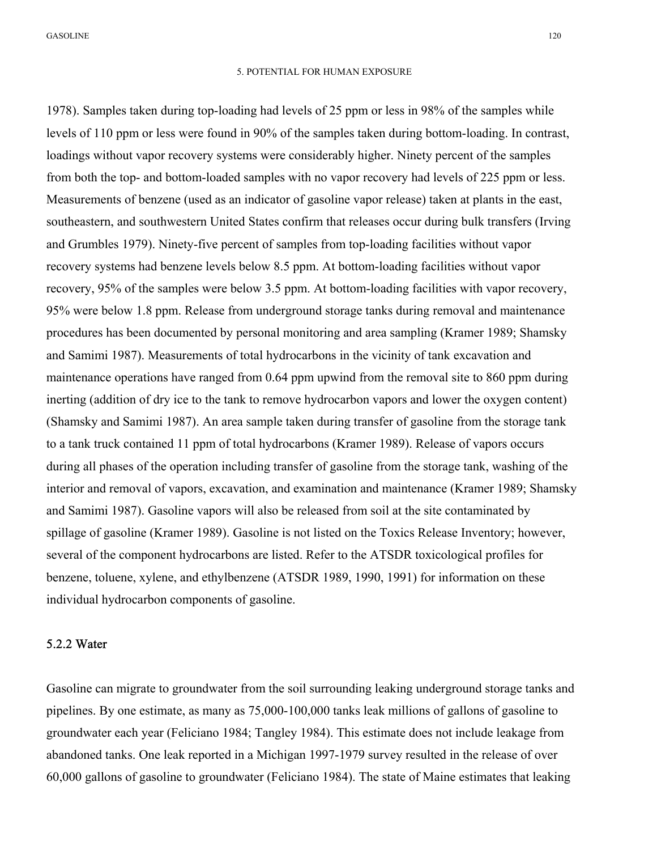#### 5. POTENTIAL FOR HUMAN EXPOSURE

1978). Samples taken during top-loading had levels of 25 ppm or less in 98% of the samples while levels of 110 ppm or less were found in 90% of the samples taken during bottom-loading. In contrast, loadings without vapor recovery systems were considerably higher. Ninety percent of the samples from both the top- and bottom-loaded samples with no vapor recovery had levels of 225 ppm or less. Measurements of benzene (used as an indicator of gasoline vapor release) taken at plants in the east, southeastern, and southwestern United States confirm that releases occur during bulk transfers (Irving and Grumbles 1979). Ninety-five percent of samples from top-loading facilities without vapor recovery systems had benzene levels below 8.5 ppm. At bottom-loading facilities without vapor recovery, 95% of the samples were below 3.5 ppm. At bottom-loading facilities with vapor recovery, 95% were below 1.8 ppm. Release from underground storage tanks during removal and maintenance procedures has been documented by personal monitoring and area sampling (Kramer 1989; Shamsky and Samimi 1987). Measurements of total hydrocarbons in the vicinity of tank excavation and maintenance operations have ranged from 0.64 ppm upwind from the removal site to 860 ppm during inerting (addition of dry ice to the tank to remove hydrocarbon vapors and lower the oxygen content) (Shamsky and Samimi 1987). An area sample taken during transfer of gasoline from the storage tank to a tank truck contained 11 ppm of total hydrocarbons (Kramer 1989). Release of vapors occurs during all phases of the operation including transfer of gasoline from the storage tank, washing of the interior and removal of vapors, excavation, and examination and maintenance (Kramer 1989; Shamsky and Samimi 1987). Gasoline vapors will also be released from soil at the site contaminated by spillage of gasoline (Kramer 1989). Gasoline is not listed on the Toxics Release Inventory; however, several of the component hydrocarbons are listed. Refer to the ATSDR toxicological profiles for benzene, toluene, xylene, and ethylbenzene (ATSDR 1989, 1990, 1991) for information on these individual hydrocarbon components of gasoline.

## 5.2.2 Water

Gasoline can migrate to groundwater from the soil surrounding leaking underground storage tanks and pipelines. By one estimate, as many as 75,000-100,000 tanks leak millions of gallons of gasoline to groundwater each year (Feliciano 1984; Tangley 1984). This estimate does not include leakage from abandoned tanks. One leak reported in a Michigan 1997-1979 survey resulted in the release of over 60,000 gallons of gasoline to groundwater (Feliciano 1984). The state of Maine estimates that leaking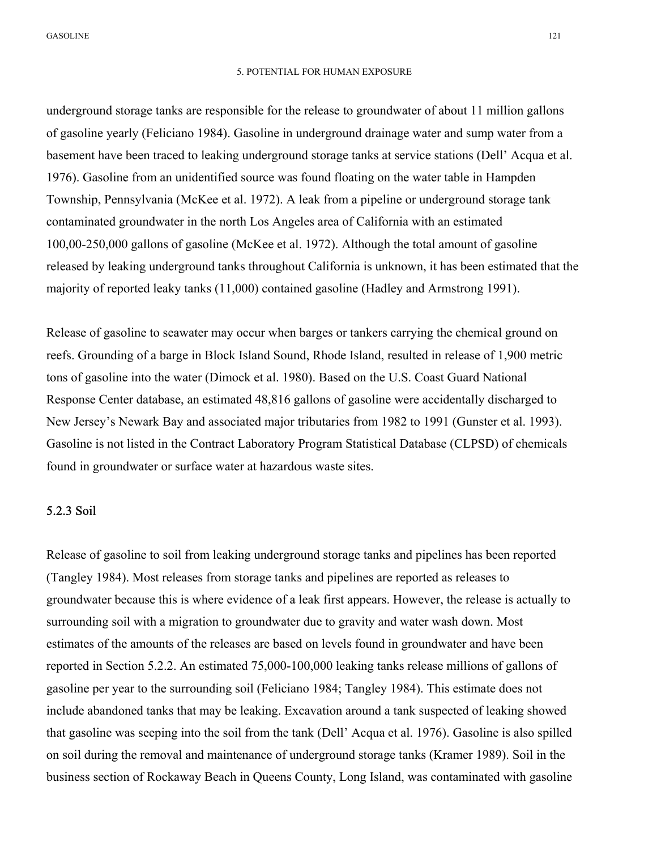#### 5. POTENTIAL FOR HUMAN EXPOSURE

underground storage tanks are responsible for the release to groundwater of about 11 million gallons of gasoline yearly (Feliciano 1984). Gasoline in underground drainage water and sump water from a basement have been traced to leaking underground storage tanks at service stations (Dell' Acqua et al. 1976). Gasoline from an unidentified source was found floating on the water table in Hampden Township, Pennsylvania (McKee et al. 1972). A leak from a pipeline or underground storage tank contaminated groundwater in the north Los Angeles area of California with an estimated 100,00-250,000 gallons of gasoline (McKee et al. 1972). Although the total amount of gasoline released by leaking underground tanks throughout California is unknown, it has been estimated that the majority of reported leaky tanks (11,000) contained gasoline (Hadley and Armstrong 1991).

Release of gasoline to seawater may occur when barges or tankers carrying the chemical ground on reefs. Grounding of a barge in Block Island Sound, Rhode Island, resulted in release of 1,900 metric tons of gasoline into the water (Dimock et al. 1980). Based on the U.S. Coast Guard National Response Center database, an estimated 48,816 gallons of gasoline were accidentally discharged to New Jersey's Newark Bay and associated major tributaries from 1982 to 1991 (Gunster et al. 1993). Gasoline is not listed in the Contract Laboratory Program Statistical Database (CLPSD) of chemicals found in groundwater or surface water at hazardous waste sites.

## 5.2.3 Soil

Release of gasoline to soil from leaking underground storage tanks and pipelines has been reported (Tangley 1984). Most releases from storage tanks and pipelines are reported as releases to groundwater because this is where evidence of a leak first appears. However, the release is actually to surrounding soil with a migration to groundwater due to gravity and water wash down. Most estimates of the amounts of the releases are based on levels found in groundwater and have been reported in Section 5.2.2. An estimated 75,000-100,000 leaking tanks release millions of gallons of gasoline per year to the surrounding soil (Feliciano 1984; Tangley 1984). This estimate does not include abandoned tanks that may be leaking. Excavation around a tank suspected of leaking showed that gasoline was seeping into the soil from the tank (Dell' Acqua et al. 1976). Gasoline is also spilled on soil during the removal and maintenance of underground storage tanks (Kramer 1989). Soil in the business section of Rockaway Beach in Queens County, Long Island, was contaminated with gasoline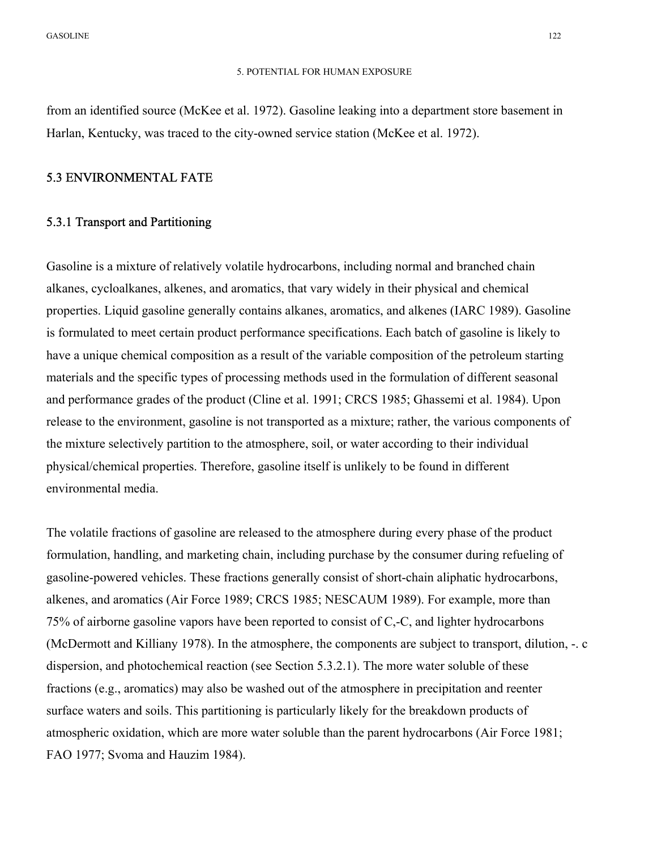#### 5. POTENTIAL FOR HUMAN EXPOSURE

from an identified source (McKee et al. 1972). Gasoline leaking into a department store basement in Harlan, Kentucky, was traced to the city-owned service station (McKee et al. 1972).

# 5.3 ENVIRONMENTAL FATE

## 5.3.1 Transport and Partitioning

Gasoline is a mixture of relatively volatile hydrocarbons, including normal and branched chain alkanes, cycloalkanes, alkenes, and aromatics, that vary widely in their physical and chemical properties. Liquid gasoline generally contains alkanes, aromatics, and alkenes (IARC 1989). Gasoline is formulated to meet certain product performance specifications. Each batch of gasoline is likely to have a unique chemical composition as a result of the variable composition of the petroleum starting materials and the specific types of processing methods used in the formulation of different seasonal and performance grades of the product (Cline et al. 1991; CRCS 1985; Ghassemi et al. 1984). Upon release to the environment, gasoline is not transported as a mixture; rather, the various components of the mixture selectively partition to the atmosphere, soil, or water according to their individual physical/chemical properties. Therefore, gasoline itself is unlikely to be found in different environmental media.

The volatile fractions of gasoline are released to the atmosphere during every phase of the product formulation, handling, and marketing chain, including purchase by the consumer during refueling of gasoline-powered vehicles. These fractions generally consist of short-chain aliphatic hydrocarbons, alkenes, and aromatics (Air Force 1989; CRCS 1985; NESCAUM 1989). For example, more than 75% of airborne gasoline vapors have been reported to consist of C,-C, and lighter hydrocarbons (McDermott and Killiany 1978). In the atmosphere, the components are subject to transport, dilution, -. c dispersion, and photochemical reaction (see Section 5.3.2.1). The more water soluble of these fractions (e.g., aromatics) may also be washed out of the atmosphere in precipitation and reenter surface waters and soils. This partitioning is particularly likely for the breakdown products of atmospheric oxidation, which are more water soluble than the parent hydrocarbons (Air Force 1981; FAO 1977; Svoma and Hauzim 1984).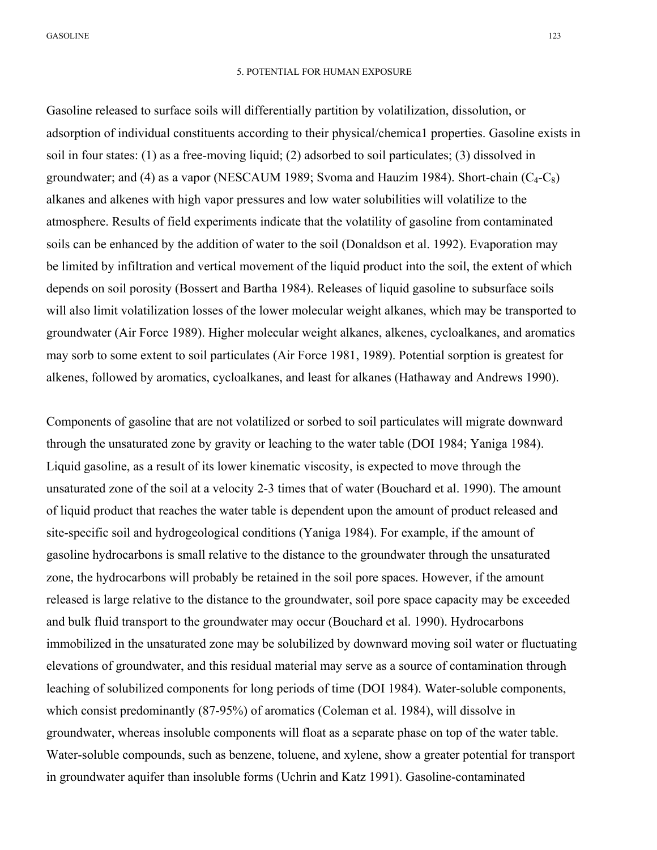#### 5. POTENTIAL FOR HUMAN EXPOSURE

Gasoline released to surface soils will differentially partition by volatilization, dissolution, or adsorption of individual constituents according to their physical/chemica1 properties. Gasoline exists in soil in four states: (1) as a free-moving liquid; (2) adsorbed to soil particulates; (3) dissolved in groundwater; and (4) as a vapor (NESCAUM 1989; Svoma and Hauzim 1984). Short-chain  $(C_4-C_8)$ alkanes and alkenes with high vapor pressures and low water solubilities will volatilize to the atmosphere. Results of field experiments indicate that the volatility of gasoline from contaminated soils can be enhanced by the addition of water to the soil (Donaldson et al. 1992). Evaporation may be limited by infiltration and vertical movement of the liquid product into the soil, the extent of which depends on soil porosity (Bossert and Bartha 1984). Releases of liquid gasoline to subsurface soils will also limit volatilization losses of the lower molecular weight alkanes, which may be transported to groundwater (Air Force 1989). Higher molecular weight alkanes, alkenes, cycloalkanes, and aromatics may sorb to some extent to soil particulates (Air Force 1981, 1989). Potential sorption is greatest for alkenes, followed by aromatics, cycloalkanes, and least for alkanes (Hathaway and Andrews 1990).

Components of gasoline that are not volatilized or sorbed to soil particulates will migrate downward through the unsaturated zone by gravity or leaching to the water table (DOI 1984; Yaniga 1984). Liquid gasoline, as a result of its lower kinematic viscosity, is expected to move through the unsaturated zone of the soil at a velocity 2-3 times that of water (Bouchard et al. 1990). The amount of liquid product that reaches the water table is dependent upon the amount of product released and site-specific soil and hydrogeological conditions (Yaniga 1984). For example, if the amount of gasoline hydrocarbons is small relative to the distance to the groundwater through the unsaturated zone, the hydrocarbons will probably be retained in the soil pore spaces. However, if the amount released is large relative to the distance to the groundwater, soil pore space capacity may be exceeded and bulk fluid transport to the groundwater may occur (Bouchard et al. 1990). Hydrocarbons immobilized in the unsaturated zone may be solubilized by downward moving soil water or fluctuating elevations of groundwater, and this residual material may serve as a source of contamination through leaching of solubilized components for long periods of time (DOI 1984). Water-soluble components, which consist predominantly (87-95%) of aromatics (Coleman et al. 1984), will dissolve in groundwater, whereas insoluble components will float as a separate phase on top of the water table. Water-soluble compounds, such as benzene, toluene, and xylene, show a greater potential for transport in groundwater aquifer than insoluble forms (Uchrin and Katz 1991). Gasoline-contaminated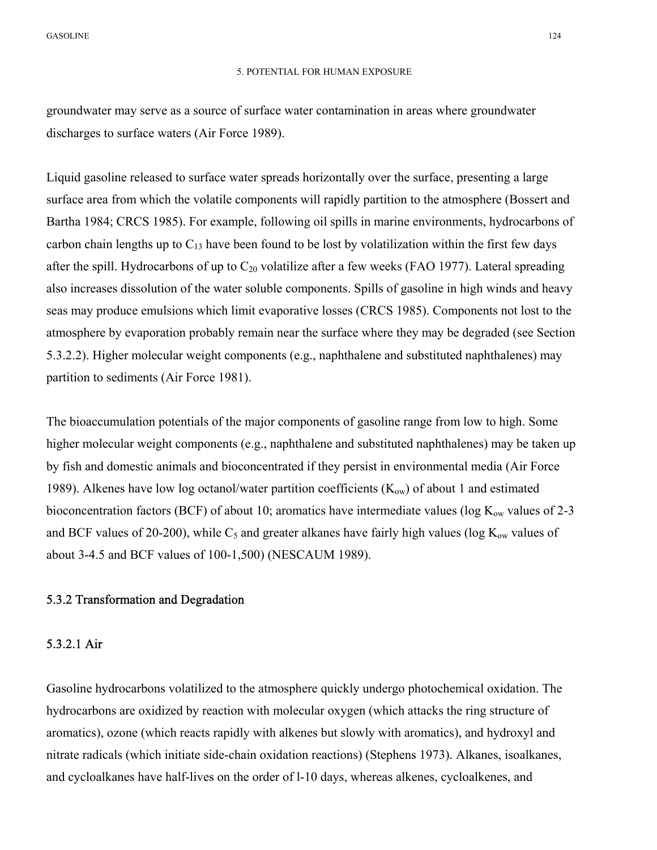groundwater may serve as a source of surface water contamination in areas where groundwater discharges to surface waters (Air Force 1989).

Liquid gasoline released to surface water spreads horizontally over the surface, presenting a large surface area from which the volatile components will rapidly partition to the atmosphere (Bossert and Bartha 1984; CRCS 1985). For example, following oil spills in marine environments, hydrocarbons of carbon chain lengths up to  $C_{13}$  have been found to be lost by volatilization within the first few days after the spill. Hydrocarbons of up to  $C_{20}$  volatilize after a few weeks (FAO 1977). Lateral spreading also increases dissolution of the water soluble components. Spills of gasoline in high winds and heavy seas may produce emulsions which limit evaporative losses (CRCS 1985). Components not lost to the atmosphere by evaporation probably remain near the surface where they may be degraded (see Section 5.3.2.2). Higher molecular weight components (e.g., naphthalene and substituted naphthalenes) may partition to sediments (Air Force 1981).

The bioaccumulation potentials of the major components of gasoline range from low to high. Some higher molecular weight components (e.g., naphthalene and substituted naphthalenes) may be taken up by fish and domestic animals and bioconcentrated if they persist in environmental media (Air Force 1989). Alkenes have low log octanol/water partition coefficients  $(K_{ow})$  of about 1 and estimated bioconcentration factors (BCF) of about 10; aromatics have intermediate values (log  $K_{ow}$  values of 2-3 and BCF values of 20-200), while  $C_5$  and greater alkanes have fairly high values (log  $K_{ow}$  values of about 3-4.5 and BCF values of 100-1,500) (NESCAUM 1989).

## 5.3.2 Transformation and Degradation

# 5.3.2.1 Air

Gasoline hydrocarbons volatilized to the atmosphere quickly undergo photochemical oxidation. The hydrocarbons are oxidized by reaction with molecular oxygen (which attacks the ring structure of aromatics), ozone (which reacts rapidly with alkenes but slowly with aromatics), and hydroxyl and nitrate radicals (which initiate side-chain oxidation reactions) (Stephens 1973). Alkanes, isoalkanes, and cycloalkanes have half-lives on the order of l-10 days, whereas alkenes, cycloalkenes, and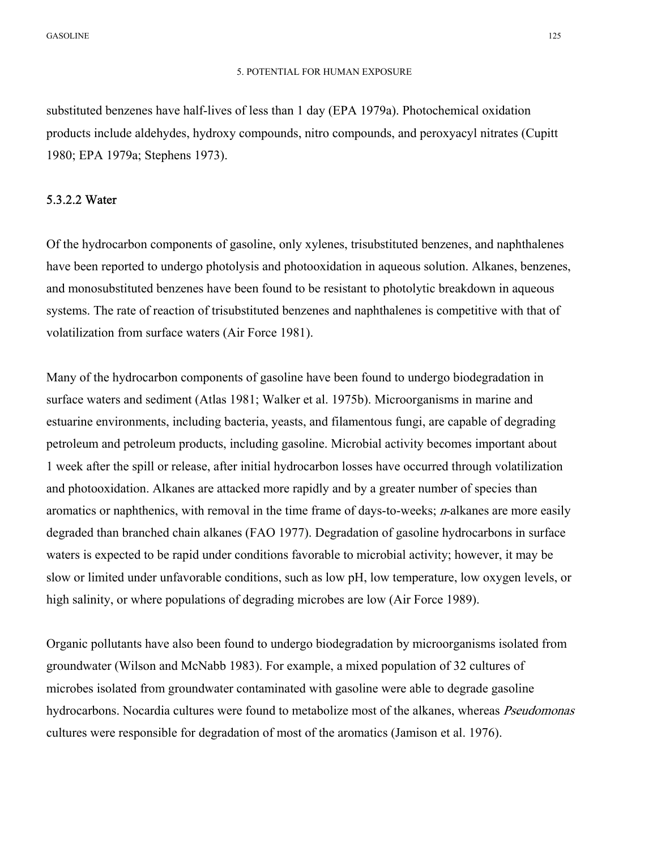#### 5. POTENTIAL FOR HUMAN EXPOSURE

substituted benzenes have half-lives of less than 1 day (EPA 1979a). Photochemical oxidation products include aldehydes, hydroxy compounds, nitro compounds, and peroxyacyl nitrates (Cupitt 1980; EPA 1979a; Stephens 1973).

# 5.3.2.2 Water

Of the hydrocarbon components of gasoline, only xylenes, trisubstituted benzenes, and naphthalenes have been reported to undergo photolysis and photooxidation in aqueous solution. Alkanes, benzenes, and monosubstituted benzenes have been found to be resistant to photolytic breakdown in aqueous systems. The rate of reaction of trisubstituted benzenes and naphthalenes is competitive with that of volatilization from surface waters (Air Force 1981).

Many of the hydrocarbon components of gasoline have been found to undergo biodegradation in surface waters and sediment (Atlas 1981; Walker et al. 1975b). Microorganisms in marine and estuarine environments, including bacteria, yeasts, and filamentous fungi, are capable of degrading petroleum and petroleum products, including gasoline. Microbial activity becomes important about 1 week after the spill or release, after initial hydrocarbon losses have occurred through volatilization and photooxidation. Alkanes are attacked more rapidly and by a greater number of species than aromatics or naphthenics, with removal in the time frame of days-to-weeks; *n*-alkanes are more easily degraded than branched chain alkanes (FAO 1977). Degradation of gasoline hydrocarbons in surface waters is expected to be rapid under conditions favorable to microbial activity; however, it may be slow or limited under unfavorable conditions, such as low pH, low temperature, low oxygen levels, or high salinity, or where populations of degrading microbes are low (Air Force 1989).

Organic pollutants have also been found to undergo biodegradation by microorganisms isolated from groundwater (Wilson and McNabb 1983). For example, a mixed population of 32 cultures of microbes isolated from groundwater contaminated with gasoline were able to degrade gasoline hydrocarbons. Nocardia cultures were found to metabolize most of the alkanes, whereas *Pseudomonas* cultures were responsible for degradation of most of the aromatics (Jamison et al. 1976).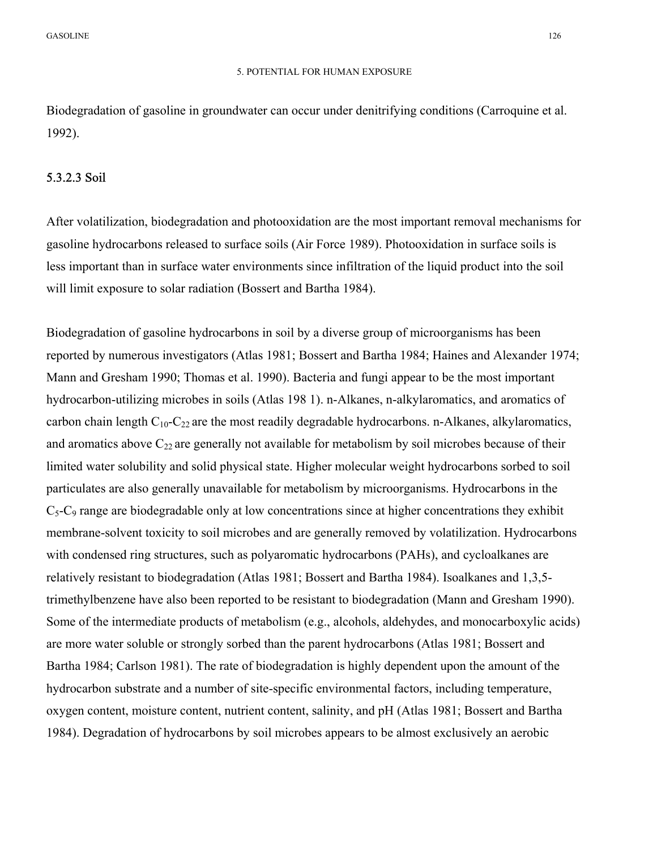Biodegradation of gasoline in groundwater can occur under denitrifying conditions (Carroquine et al. 1992).

# 5.3.2.3 Soil

After volatilization, biodegradation and photooxidation are the most important removal mechanisms for gasoline hydrocarbons released to surface soils (Air Force 1989). Photooxidation in surface soils is less important than in surface water environments since infiltration of the liquid product into the soil will limit exposure to solar radiation (Bossert and Bartha 1984).

Biodegradation of gasoline hydrocarbons in soil by a diverse group of microorganisms has been reported by numerous investigators (Atlas 1981; Bossert and Bartha 1984; Haines and Alexander 1974; Mann and Gresham 1990; Thomas et al. 1990). Bacteria and fungi appear to be the most important hydrocarbon-utilizing microbes in soils (Atlas 198 1). n-Alkanes, n-alkylaromatics, and aromatics of carbon chain length  $C_{10}$ - $C_{22}$  are the most readily degradable hydrocarbons. n-Alkanes, alkylaromatics, and aromatics above  $C_{22}$  are generally not available for metabolism by soil microbes because of their limited water solubility and solid physical state. Higher molecular weight hydrocarbons sorbed to soil particulates are also generally unavailable for metabolism by microorganisms. Hydrocarbons in the  $C_5$ - $C_9$  range are biodegradable only at low concentrations since at higher concentrations they exhibit membrane-solvent toxicity to soil microbes and are generally removed by volatilization. Hydrocarbons with condensed ring structures, such as polyaromatic hydrocarbons (PAHs), and cycloalkanes are relatively resistant to biodegradation (Atlas 1981; Bossert and Bartha 1984). Isoalkanes and 1,3,5 trimethylbenzene have also been reported to be resistant to biodegradation (Mann and Gresham 1990). Some of the intermediate products of metabolism (e.g., alcohols, aldehydes, and monocarboxylic acids) are more water soluble or strongly sorbed than the parent hydrocarbons (Atlas 1981; Bossert and Bartha 1984; Carlson 1981). The rate of biodegradation is highly dependent upon the amount of the hydrocarbon substrate and a number of site-specific environmental factors, including temperature, oxygen content, moisture content, nutrient content, salinity, and pH (Atlas 1981; Bossert and Bartha 1984). Degradation of hydrocarbons by soil microbes appears to be almost exclusively an aerobic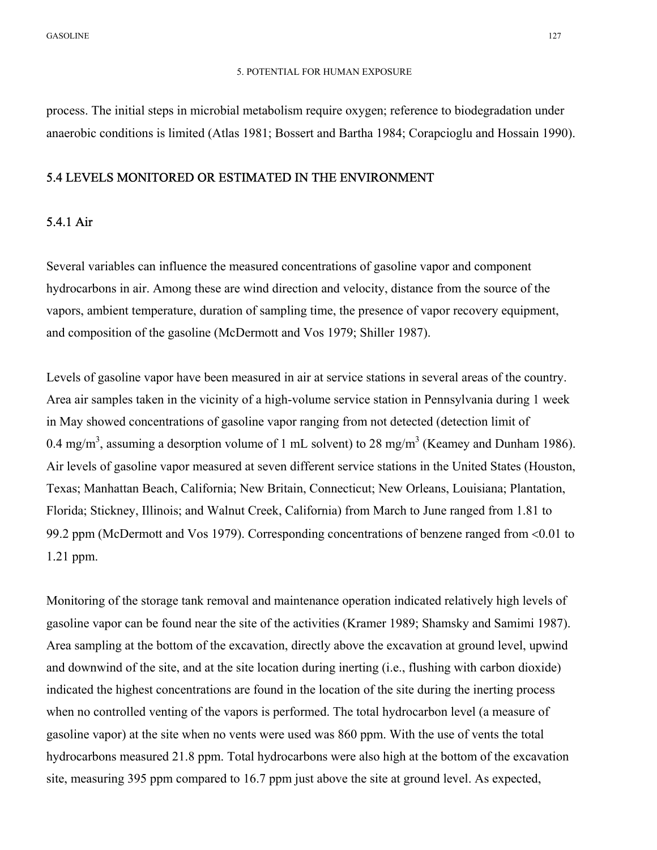process. The initial steps in microbial metabolism require oxygen; reference to biodegradation under anaerobic conditions is limited (Atlas 1981; Bossert and Bartha 1984; Corapcioglu and Hossain 1990).

# 5.4 LEVELS MONITORED OR ESTIMATED IN THE ENVIRONMENT

## 5.4.1 Air

Several variables can influence the measured concentrations of gasoline vapor and component hydrocarbons in air. Among these are wind direction and velocity, distance from the source of the vapors, ambient temperature, duration of sampling time, the presence of vapor recovery equipment, and composition of the gasoline (McDermott and Vos 1979; Shiller 1987).

Levels of gasoline vapor have been measured in air at service stations in several areas of the country. Area air samples taken in the vicinity of a high-volume service station in Pennsylvania during 1 week in May showed concentrations of gasoline vapor ranging from not detected (detection limit of 0.4 mg/m<sup>3</sup>, assuming a desorption volume of 1 mL solvent) to 28 mg/m<sup>3</sup> (Keamey and Dunham 1986). Air levels of gasoline vapor measured at seven different service stations in the United States (Houston, Texas; Manhattan Beach, California; New Britain, Connecticut; New Orleans, Louisiana; Plantation, Florida; Stickney, Illinois; and Walnut Creek, California) from March to June ranged from 1.81 to 99.2 ppm (McDermott and Vos 1979). Corresponding concentrations of benzene ranged from <0.01 to 1.21 ppm.

Monitoring of the storage tank removal and maintenance operation indicated relatively high levels of gasoline vapor can be found near the site of the activities (Kramer 1989; Shamsky and Samimi 1987). Area sampling at the bottom of the excavation, directly above the excavation at ground level, upwind and downwind of the site, and at the site location during inerting (i.e., flushing with carbon dioxide) indicated the highest concentrations are found in the location of the site during the inerting process when no controlled venting of the vapors is performed. The total hydrocarbon level (a measure of gasoline vapor) at the site when no vents were used was 860 ppm. With the use of vents the total hydrocarbons measured 21.8 ppm. Total hydrocarbons were also high at the bottom of the excavation site, measuring 395 ppm compared to 16.7 ppm just above the site at ground level. As expected,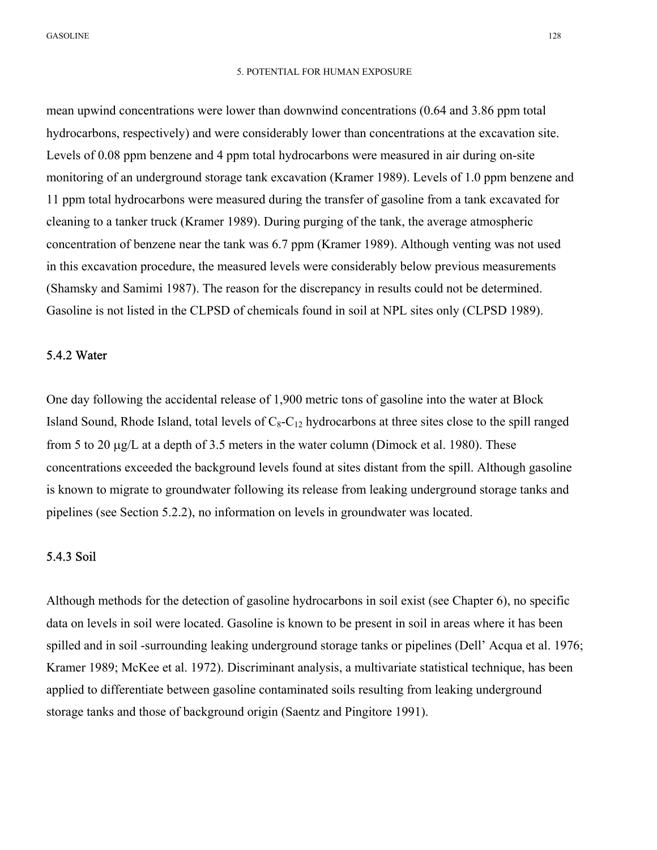mean upwind concentrations were lower than downwind concentrations (0.64 and 3.86 ppm total hydrocarbons, respectively) and were considerably lower than concentrations at the excavation site. Levels of 0.08 ppm benzene and 4 ppm total hydrocarbons were measured in air during on-site monitoring of an underground storage tank excavation (Kramer 1989). Levels of 1.0 ppm benzene and 11 ppm total hydrocarbons were measured during the transfer of gasoline from a tank excavated for cleaning to a tanker truck (Kramer 1989). During purging of the tank, the average atmospheric concentration of benzene near the tank was 6.7 ppm (Kramer 1989). Although venting was not used in this excavation procedure, the measured levels were considerably below previous measurements (Shamsky and Samimi 1987). The reason for the discrepancy in results could not be determined. Gasoline is not listed in the CLPSD of chemicals found in soil at NPL sites only (CLPSD 1989).

## 5.4.2 Water

One day following the accidental release of 1,900 metric tons of gasoline into the water at Block Island Sound, Rhode Island, total levels of  $C_8-C_{12}$  hydrocarbons at three sites close to the spill ranged from 5 to 20 µg/L at a depth of 3.5 meters in the water column (Dimock et al. 1980). These concentrations exceeded the background levels found at sites distant from the spill. Although gasoline is known to migrate to groundwater following its release from leaking underground storage tanks and pipelines (see Section 5.2.2), no information on levels in groundwater was located.

## 5.4.3 Soil

Although methods for the detection of gasoline hydrocarbons in soil exist (see Chapter 6), no specific data on levels in soil were located. Gasoline is known to be present in soil in areas where it has been spilled and in soil -surrounding leaking underground storage tanks or pipelines (Dell' Acqua et al. 1976; Kramer 1989; McKee et al. 1972). Discriminant analysis, a multivariate statistical technique, has been applied to differentiate between gasoline contaminated soils resulting from leaking underground storage tanks and those of background origin (Saentz and Pingitore 1991).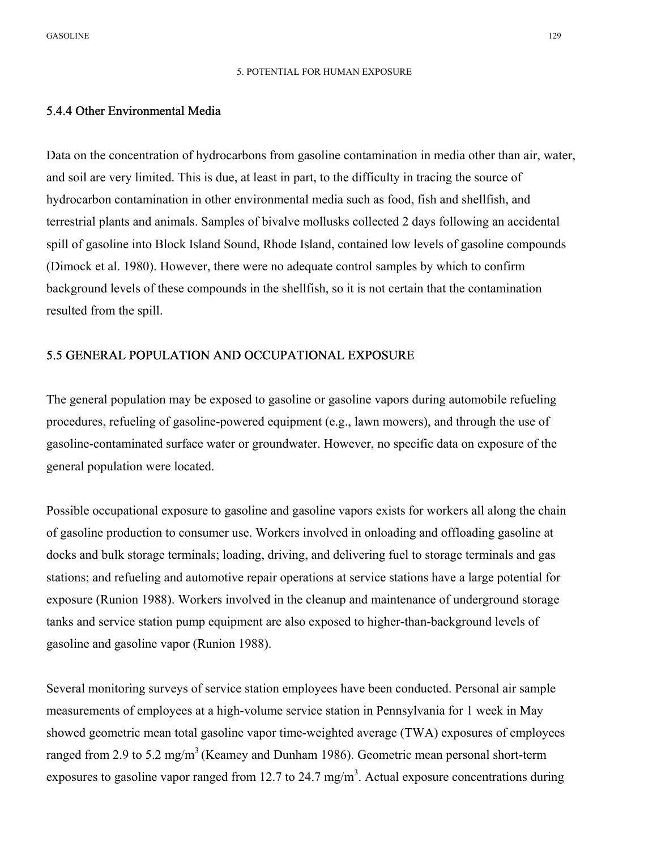#### 5. POTENTIAL FOR HUMAN EXPOSURE

## 5.4.4 Other Environmental Media

Data on the concentration of hydrocarbons from gasoline contamination in media other than air, water, and soil are very limited. This is due, at least in part, to the difficulty in tracing the source of hydrocarbon contamination in other environmental media such as food, fish and shellfish, and terrestrial plants and animals. Samples of bivalve mollusks collected 2 days following an accidental spill of gasoline into Block Island Sound, Rhode Island, contained low levels of gasoline compounds (Dimock et al. 1980). However, there were no adequate control samples by which to confirm background levels of these compounds in the shellfish, so it is not certain that the contamination resulted from the spill.

# 5.5 GENERAL POPULATION AND OCCUPATIONAL EXPOSURE

The general population may be exposed to gasoline or gasoline vapors during automobile refueling procedures, refueling of gasoline-powered equipment (e.g., lawn mowers), and through the use of gasoline-contaminated surface water or groundwater. However, no specific data on exposure of the general population were located.

Possible occupational exposure to gasoline and gasoline vapors exists for workers all along the chain of gasoline production to consumer use. Workers involved in onloading and offloading gasoline at docks and bulk storage terminals; loading, driving, and delivering fuel to storage terminals and gas stations; and refueling and automotive repair operations at service stations have a large potential for exposure (Runion 1988). Workers involved in the cleanup and maintenance of underground storage tanks and service station pump equipment are also exposed to higher-than-background levels of gasoline and gasoline vapor (Runion 1988).

Several monitoring surveys of service station employees have been conducted. Personal air sample measurements of employees at a high-volume service station in Pennsylvania for 1 week in May showed geometric mean total gasoline vapor time-weighted average (TWA) exposures of employees ranged from 2.9 to 5.2 mg/m<sup>3</sup> (Keamey and Dunham 1986). Geometric mean personal short-term exposures to gasoline vapor ranged from 12.7 to 24.7 mg/m<sup>3</sup>. Actual exposure concentrations during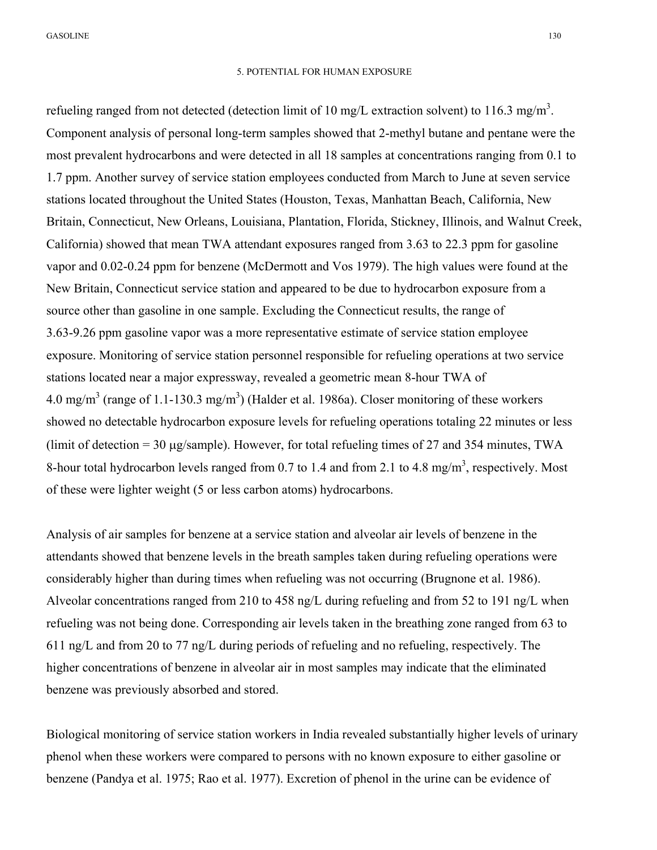#### 5. POTENTIAL FOR HUMAN EXPOSURE

refueling ranged from not detected (detection limit of 10 mg/L extraction solvent) to 116.3 mg/m<sup>3</sup>. Component analysis of personal long-term samples showed that 2-methyl butane and pentane were the most prevalent hydrocarbons and were detected in all 18 samples at concentrations ranging from 0.1 to 1.7 ppm. Another survey of service station employees conducted from March to June at seven service stations located throughout the United States (Houston, Texas, Manhattan Beach, California, New Britain, Connecticut, New Orleans, Louisiana, Plantation, Florida, Stickney, Illinois, and Walnut Creek, California) showed that mean TWA attendant exposures ranged from 3.63 to 22.3 ppm for gasoline vapor and 0.02-0.24 ppm for benzene (McDermott and Vos 1979). The high values were found at the New Britain, Connecticut service station and appeared to be due to hydrocarbon exposure from a source other than gasoline in one sample. Excluding the Connecticut results, the range of 3.63-9.26 ppm gasoline vapor was a more representative estimate of service station employee exposure. Monitoring of service station personnel responsible for refueling operations at two service stations located near a major expressway, revealed a geometric mean 8-hour TWA of 4.0 mg/m<sup>3</sup> (range of 1.1-130.3 mg/m<sup>3</sup>) (Halder et al. 1986a). Closer monitoring of these workers showed no detectable hydrocarbon exposure levels for refueling operations totaling 22 minutes or less (limit of detection = 30  $\mu$ g/sample). However, for total refueling times of 27 and 354 minutes, TWA 8-hour total hydrocarbon levels ranged from 0.7 to 1.4 and from 2.1 to 4.8 mg/m<sup>3</sup>, respectively. Most of these were lighter weight (5 or less carbon atoms) hydrocarbons.

Analysis of air samples for benzene at a service station and alveolar air levels of benzene in the attendants showed that benzene levels in the breath samples taken during refueling operations were considerably higher than during times when refueling was not occurring (Brugnone et al. 1986). Alveolar concentrations ranged from 210 to 458 ng/L during refueling and from 52 to 191 ng/L when refueling was not being done. Corresponding air levels taken in the breathing zone ranged from 63 to 611 ng/L and from 20 to 77 ng/L during periods of refueling and no refueling, respectively. The higher concentrations of benzene in alveolar air in most samples may indicate that the eliminated benzene was previously absorbed and stored.

Biological monitoring of service station workers in India revealed substantially higher levels of urinary phenol when these workers were compared to persons with no known exposure to either gasoline or benzene (Pandya et al. 1975; Rao et al. 1977). Excretion of phenol in the urine can be evidence of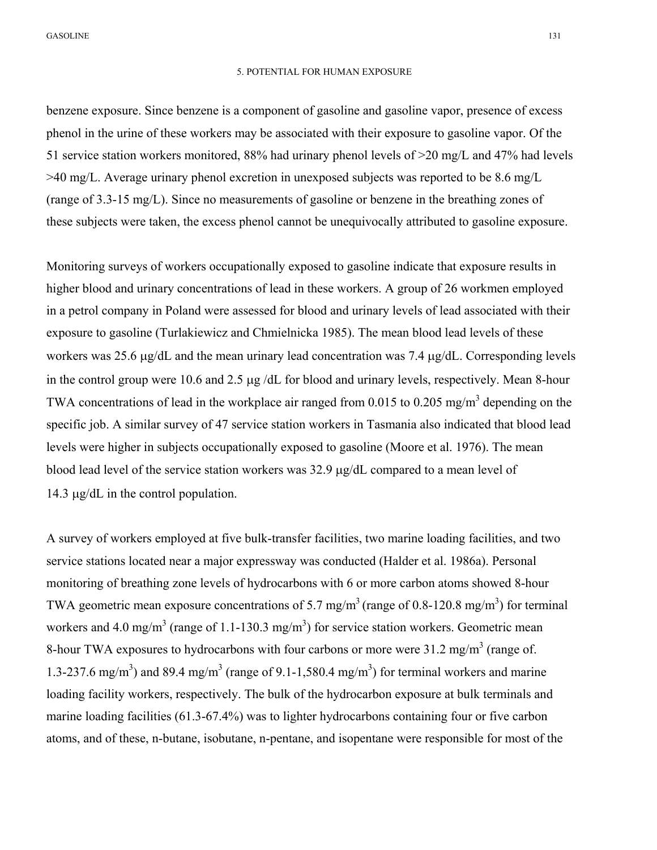#### 5. POTENTIAL FOR HUMAN EXPOSURE

benzene exposure. Since benzene is a component of gasoline and gasoline vapor, presence of excess phenol in the urine of these workers may be associated with their exposure to gasoline vapor. Of the 51 service station workers monitored, 88% had urinary phenol levels of >20 mg/L and 47% had levels >40 mg/L. Average urinary phenol excretion in unexposed subjects was reported to be 8.6 mg/L (range of 3.3-15 mg/L). Since no measurements of gasoline or benzene in the breathing zones of these subjects were taken, the excess phenol cannot be unequivocally attributed to gasoline exposure.

Monitoring surveys of workers occupationally exposed to gasoline indicate that exposure results in higher blood and urinary concentrations of lead in these workers. A group of 26 workmen employed in a petrol company in Poland were assessed for blood and urinary levels of lead associated with their exposure to gasoline (Turlakiewicz and Chmielnicka 1985). The mean blood lead levels of these workers was 25.6  $\mu$ g/dL and the mean urinary lead concentration was 7.4  $\mu$ g/dL. Corresponding levels in the control group were 10.6 and 2.5 µg /dL for blood and urinary levels, respectively. Mean 8-hour TWA concentrations of lead in the workplace air ranged from 0.015 to 0.205 mg/m<sup>3</sup> depending on the specific job. A similar survey of 47 service station workers in Tasmania also indicated that blood lead levels were higher in subjects occupationally exposed to gasoline (Moore et al. 1976). The mean blood lead level of the service station workers was 32.9 µg/dL compared to a mean level of 14.3 µg/dL in the control population.

A survey of workers employed at five bulk-transfer facilities, two marine loading facilities, and two service stations located near a major expressway was conducted (Halder et al. 1986a). Personal monitoring of breathing zone levels of hydrocarbons with 6 or more carbon atoms showed 8-hour TWA geometric mean exposure concentrations of 5.7 mg/m<sup>3</sup> (range of 0.8-120.8 mg/m<sup>3</sup>) for terminal workers and 4.0 mg/m<sup>3</sup> (range of 1.1-130.3 mg/m<sup>3</sup>) for service station workers. Geometric mean 8-hour TWA exposures to hydrocarbons with four carbons or more were  $31.2 \text{ mg/m}^3$  (range of. 1.3-237.6 mg/m<sup>3</sup>) and 89.4 mg/m<sup>3</sup> (range of 9.1-1,580.4 mg/m<sup>3</sup>) for terminal workers and marine loading facility workers, respectively. The bulk of the hydrocarbon exposure at bulk terminals and marine loading facilities (61.3-67.4%) was to lighter hydrocarbons containing four or five carbon atoms, and of these, n-butane, isobutane, n-pentane, and isopentane were responsible for most of the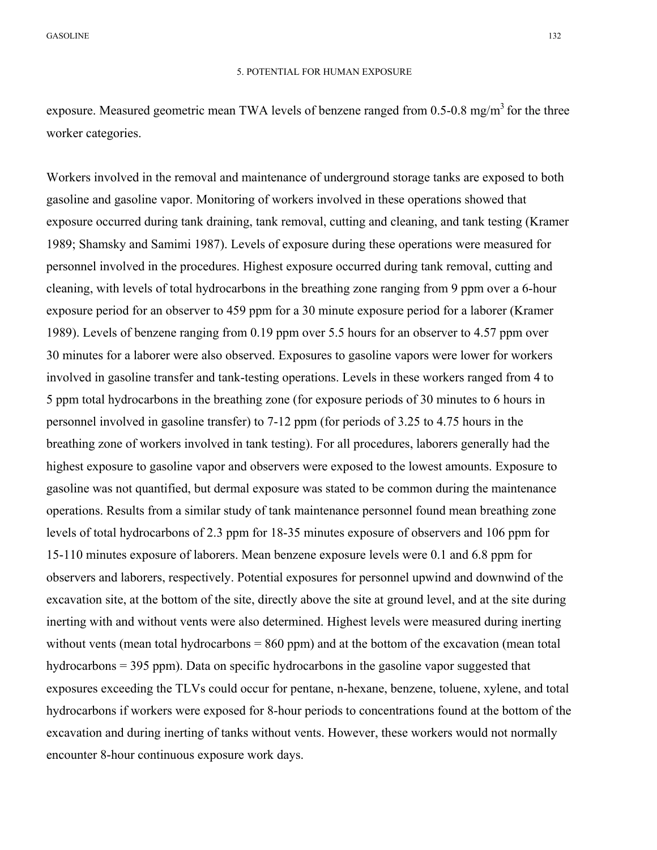exposure. Measured geometric mean TWA levels of benzene ranged from 0.5-0.8 mg/m<sup>3</sup> for the three worker categories.

Workers involved in the removal and maintenance of underground storage tanks are exposed to both gasoline and gasoline vapor. Monitoring of workers involved in these operations showed that exposure occurred during tank draining, tank removal, cutting and cleaning, and tank testing (Kramer 1989; Shamsky and Samimi 1987). Levels of exposure during these operations were measured for personnel involved in the procedures. Highest exposure occurred during tank removal, cutting and cleaning, with levels of total hydrocarbons in the breathing zone ranging from 9 ppm over a 6-hour exposure period for an observer to 459 ppm for a 30 minute exposure period for a laborer (Kramer 1989). Levels of benzene ranging from 0.19 ppm over 5.5 hours for an observer to 4.57 ppm over 30 minutes for a laborer were also observed. Exposures to gasoline vapors were lower for workers involved in gasoline transfer and tank-testing operations. Levels in these workers ranged from 4 to 5 ppm total hydrocarbons in the breathing zone (for exposure periods of 30 minutes to 6 hours in personnel involved in gasoline transfer) to 7-12 ppm (for periods of 3.25 to 4.75 hours in the breathing zone of workers involved in tank testing). For all procedures, laborers generally had the highest exposure to gasoline vapor and observers were exposed to the lowest amounts. Exposure to gasoline was not quantified, but dermal exposure was stated to be common during the maintenance operations. Results from a similar study of tank maintenance personnel found mean breathing zone levels of total hydrocarbons of 2.3 ppm for 18-35 minutes exposure of observers and 106 ppm for 15-110 minutes exposure of laborers. Mean benzene exposure levels were 0.1 and 6.8 ppm for observers and laborers, respectively. Potential exposures for personnel upwind and downwind of the excavation site, at the bottom of the site, directly above the site at ground level, and at the site during inerting with and without vents were also determined. Highest levels were measured during inerting without vents (mean total hydrocarbons = 860 ppm) and at the bottom of the excavation (mean total hydrocarbons = 395 ppm). Data on specific hydrocarbons in the gasoline vapor suggested that exposures exceeding the TLVs could occur for pentane, n-hexane, benzene, toluene, xylene, and total hydrocarbons if workers were exposed for 8-hour periods to concentrations found at the bottom of the excavation and during inerting of tanks without vents. However, these workers would not normally encounter 8-hour continuous exposure work days.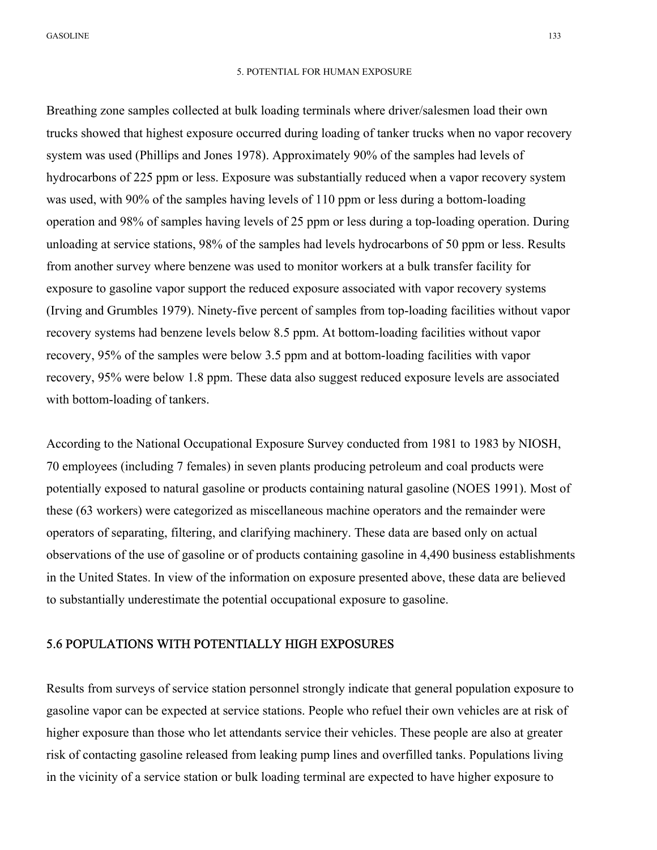#### 5. POTENTIAL FOR HUMAN EXPOSURE

Breathing zone samples collected at bulk loading terminals where driver/salesmen load their own trucks showed that highest exposure occurred during loading of tanker trucks when no vapor recovery system was used (Phillips and Jones 1978). Approximately 90% of the samples had levels of hydrocarbons of 225 ppm or less. Exposure was substantially reduced when a vapor recovery system was used, with 90% of the samples having levels of 110 ppm or less during a bottom-loading operation and 98% of samples having levels of 25 ppm or less during a top-loading operation. During unloading at service stations, 98% of the samples had levels hydrocarbons of 50 ppm or less. Results from another survey where benzene was used to monitor workers at a bulk transfer facility for exposure to gasoline vapor support the reduced exposure associated with vapor recovery systems (Irving and Grumbles 1979). Ninety-five percent of samples from top-loading facilities without vapor recovery systems had benzene levels below 8.5 ppm. At bottom-loading facilities without vapor recovery, 95% of the samples were below 3.5 ppm and at bottom-loading facilities with vapor recovery, 95% were below 1.8 ppm. These data also suggest reduced exposure levels are associated with bottom-loading of tankers.

According to the National Occupational Exposure Survey conducted from 1981 to 1983 by NIOSH, 70 employees (including 7 females) in seven plants producing petroleum and coal products were potentially exposed to natural gasoline or products containing natural gasoline (NOES 1991). Most of these (63 workers) were categorized as miscellaneous machine operators and the remainder were operators of separating, filtering, and clarifying machinery. These data are based only on actual observations of the use of gasoline or of products containing gasoline in 4,490 business establishments in the United States. In view of the information on exposure presented above, these data are believed to substantially underestimate the potential occupational exposure to gasoline.

# 5.6 POPULATIONS WITH POTENTIALLY HIGH EXPOSURES

Results from surveys of service station personnel strongly indicate that general population exposure to gasoline vapor can be expected at service stations. People who refuel their own vehicles are at risk of higher exposure than those who let attendants service their vehicles. These people are also at greater risk of contacting gasoline released from leaking pump lines and overfilled tanks. Populations living in the vicinity of a service station or bulk loading terminal are expected to have higher exposure to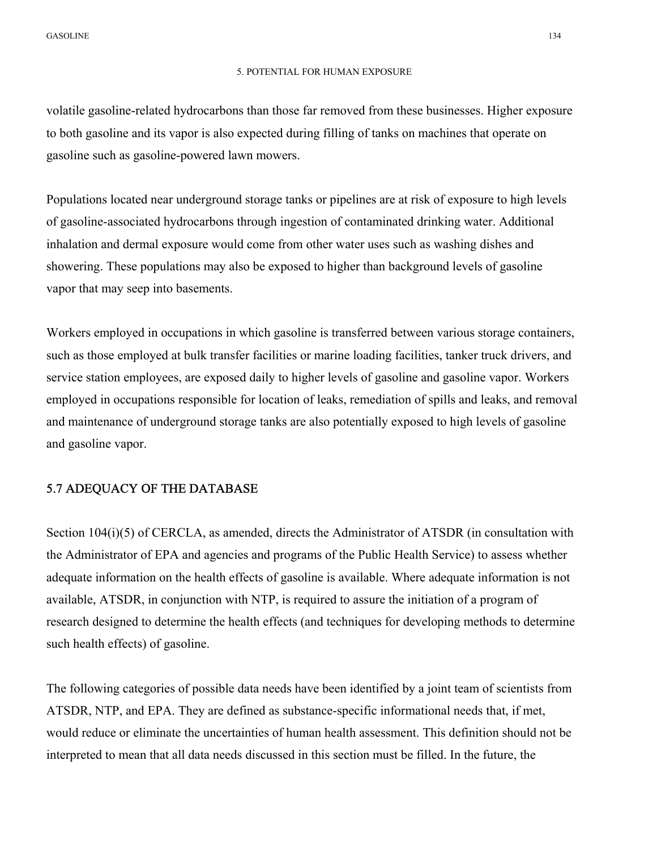volatile gasoline-related hydrocarbons than those far removed from these businesses. Higher exposure to both gasoline and its vapor is also expected during filling of tanks on machines that operate on gasoline such as gasoline-powered lawn mowers.

Populations located near underground storage tanks or pipelines are at risk of exposure to high levels of gasoline-associated hydrocarbons through ingestion of contaminated drinking water. Additional inhalation and dermal exposure would come from other water uses such as washing dishes and showering. These populations may also be exposed to higher than background levels of gasoline vapor that may seep into basements.

Workers employed in occupations in which gasoline is transferred between various storage containers, such as those employed at bulk transfer facilities or marine loading facilities, tanker truck drivers, and service station employees, are exposed daily to higher levels of gasoline and gasoline vapor. Workers employed in occupations responsible for location of leaks, remediation of spills and leaks, and removal and maintenance of underground storage tanks are also potentially exposed to high levels of gasoline and gasoline vapor.

# 5.7 ADEQUACY OF THE DATABASE

Section 104(i)(5) of CERCLA, as amended, directs the Administrator of ATSDR (in consultation with the Administrator of EPA and agencies and programs of the Public Health Service) to assess whether adequate information on the health effects of gasoline is available. Where adequate information is not available, ATSDR, in conjunction with NTP, is required to assure the initiation of a program of research designed to determine the health effects (and techniques for developing methods to determine such health effects) of gasoline.

The following categories of possible data needs have been identified by a joint team of scientists from ATSDR, NTP, and EPA. They are defined as substance-specific informational needs that, if met, would reduce or eliminate the uncertainties of human health assessment. This definition should not be interpreted to mean that all data needs discussed in this section must be filled. In the future, the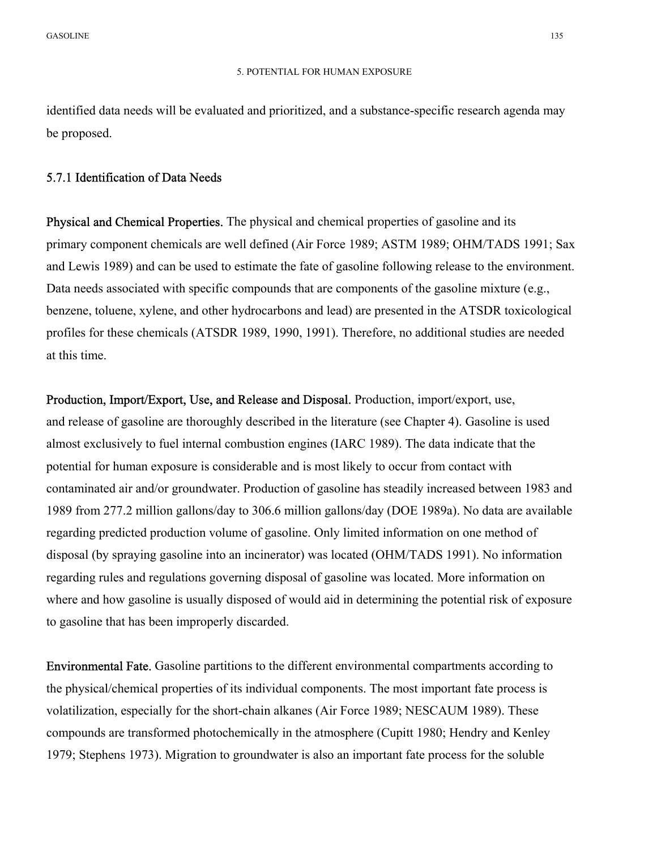#### 5. POTENTIAL FOR HUMAN EXPOSURE

identified data needs will be evaluated and prioritized, and a substance-specific research agenda may be proposed.

# 5.7.1 Identification of Data Needs

Physical and Chemical Properties. The physical and chemical properties of gasoline and its primary component chemicals are well defined (Air Force 1989; ASTM 1989; OHM/TADS 1991; Sax and Lewis 1989) and can be used to estimate the fate of gasoline following release to the environment. Data needs associated with specific compounds that are components of the gasoline mixture (e.g., benzene, toluene, xylene, and other hydrocarbons and lead) are presented in the ATSDR toxicological profiles for these chemicals (ATSDR 1989, 1990, 1991). Therefore, no additional studies are needed at this time.

Production, Import/Export, Use, and Release and Disposal. Production, import/export, use, and release of gasoline are thoroughly described in the literature (see Chapter 4). Gasoline is used almost exclusively to fuel internal combustion engines (IARC 1989). The data indicate that the potential for human exposure is considerable and is most likely to occur from contact with contaminated air and/or groundwater. Production of gasoline has steadily increased between 1983 and 1989 from 277.2 million gallons/day to 306.6 million gallons/day (DOE 1989a). No data are available regarding predicted production volume of gasoline. Only limited information on one method of disposal (by spraying gasoline into an incinerator) was located (OHM/TADS 1991). No information regarding rules and regulations governing disposal of gasoline was located. More information on where and how gasoline is usually disposed of would aid in determining the potential risk of exposure to gasoline that has been improperly discarded.

Environmental Fate. Gasoline partitions to the different environmental compartments according to the physical/chemical properties of its individual components. The most important fate process is volatilization, especially for the short-chain alkanes (Air Force 1989; NESCAUM 1989). These compounds are transformed photochemically in the atmosphere (Cupitt 1980; Hendry and Kenley 1979; Stephens 1973). Migration to groundwater is also an important fate process for the soluble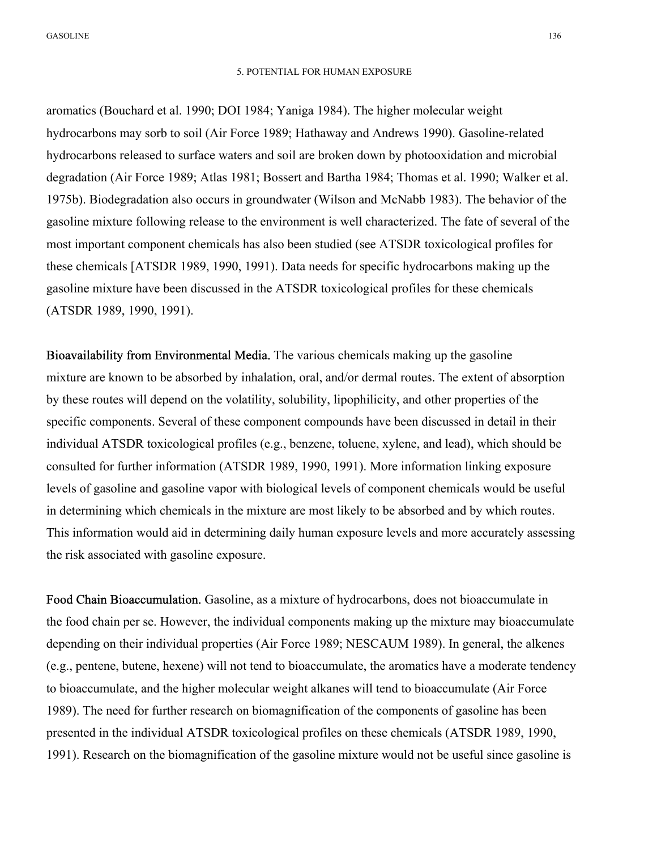#### 5. POTENTIAL FOR HUMAN EXPOSURE

aromatics (Bouchard et al. 1990; DOI 1984; Yaniga 1984). The higher molecular weight hydrocarbons may sorb to soil (Air Force 1989; Hathaway and Andrews 1990). Gasoline-related hydrocarbons released to surface waters and soil are broken down by photooxidation and microbial degradation (Air Force 1989; Atlas 1981; Bossert and Bartha 1984; Thomas et al. 1990; Walker et al. 1975b). Biodegradation also occurs in groundwater (Wilson and McNabb 1983). The behavior of the gasoline mixture following release to the environment is well characterized. The fate of several of the most important component chemicals has also been studied (see ATSDR toxicological profiles for these chemicals [ATSDR 1989, 1990, 1991). Data needs for specific hydrocarbons making up the gasoline mixture have been discussed in the ATSDR toxicological profiles for these chemicals (ATSDR 1989, 1990, 1991).

Bioavailability from Environmental Media. The various chemicals making up the gasoline mixture are known to be absorbed by inhalation, oral, and/or dermal routes. The extent of absorption by these routes will depend on the volatility, solubility, lipophilicity, and other properties of the specific components. Several of these component compounds have been discussed in detail in their individual ATSDR toxicological profiles (e.g., benzene, toluene, xylene, and lead), which should be consulted for further information (ATSDR 1989, 1990, 1991). More information linking exposure levels of gasoline and gasoline vapor with biological levels of component chemicals would be useful in determining which chemicals in the mixture are most likely to be absorbed and by which routes. This information would aid in determining daily human exposure levels and more accurately assessing the risk associated with gasoline exposure.

Food Chain Bioaccumulation. Gasoline, as a mixture of hydrocarbons, does not bioaccumulate in the food chain per se. However, the individual components making up the mixture may bioaccumulate depending on their individual properties (Air Force 1989; NESCAUM 1989). In general, the alkenes (e.g., pentene, butene, hexene) will not tend to bioaccumulate, the aromatics have a moderate tendency to bioaccumulate, and the higher molecular weight alkanes will tend to bioaccumulate (Air Force 1989). The need for further research on biomagnification of the components of gasoline has been presented in the individual ATSDR toxicological profiles on these chemicals (ATSDR 1989, 1990, 1991). Research on the biomagnification of the gasoline mixture would not be useful since gasoline is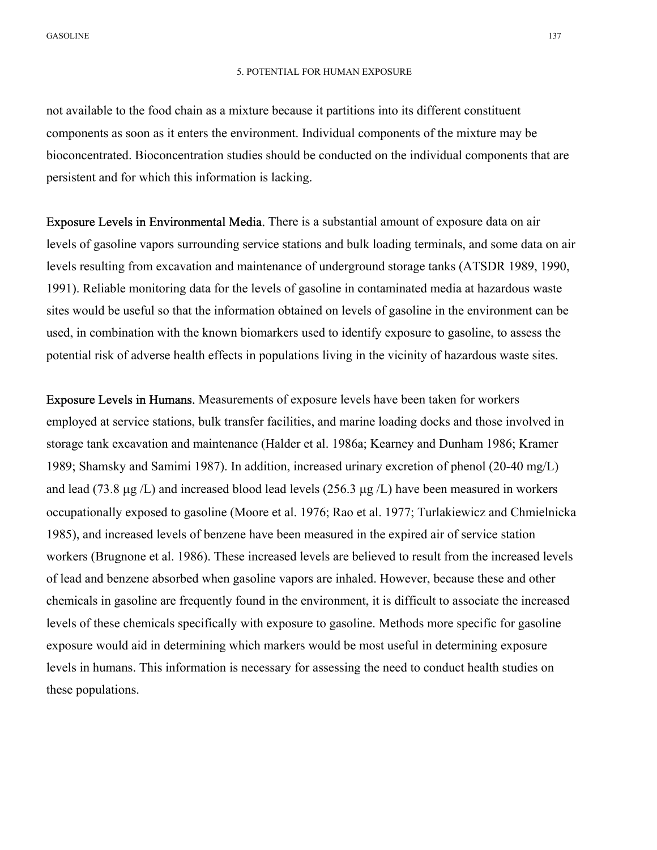not available to the food chain as a mixture because it partitions into its different constituent components as soon as it enters the environment. Individual components of the mixture may be bioconcentrated. Bioconcentration studies should be conducted on the individual components that are persistent and for which this information is lacking.

Exposure Levels in Environmental Media. There is a substantial amount of exposure data on air levels of gasoline vapors surrounding service stations and bulk loading terminals, and some data on air levels resulting from excavation and maintenance of underground storage tanks (ATSDR 1989, 1990, 1991). Reliable monitoring data for the levels of gasoline in contaminated media at hazardous waste sites would be useful so that the information obtained on levels of gasoline in the environment can be used, in combination with the known biomarkers used to identify exposure to gasoline, to assess the potential risk of adverse health effects in populations living in the vicinity of hazardous waste sites.

Exposure Levels in Humans. Measurements of exposure levels have been taken for workers employed at service stations, bulk transfer facilities, and marine loading docks and those involved in storage tank excavation and maintenance (Halder et al. 1986a; Kearney and Dunham 1986; Kramer 1989; Shamsky and Samimi 1987). In addition, increased urinary excretion of phenol (20-40 mg/L) and lead (73.8  $\mu$ g /L) and increased blood lead levels (256.3  $\mu$ g /L) have been measured in workers occupationally exposed to gasoline (Moore et al. 1976; Rao et al. 1977; Turlakiewicz and Chmielnicka 1985), and increased levels of benzene have been measured in the expired air of service station workers (Brugnone et al. 1986). These increased levels are believed to result from the increased levels of lead and benzene absorbed when gasoline vapors are inhaled. However, because these and other chemicals in gasoline are frequently found in the environment, it is difficult to associate the increased levels of these chemicals specifically with exposure to gasoline. Methods more specific for gasoline exposure would aid in determining which markers would be most useful in determining exposure levels in humans. This information is necessary for assessing the need to conduct health studies on these populations.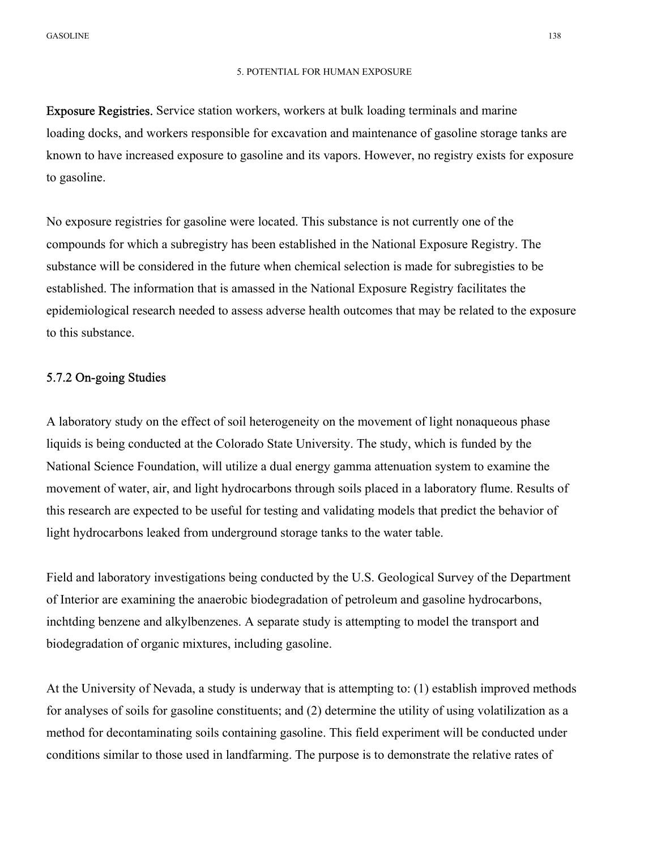Exposure Registries. Service station workers, workers at bulk loading terminals and marine loading docks, and workers responsible for excavation and maintenance of gasoline storage tanks are known to have increased exposure to gasoline and its vapors. However, no registry exists for exposure to gasoline.

No exposure registries for gasoline were located. This substance is not currently one of the compounds for which a subregistry has been established in the National Exposure Registry. The substance will be considered in the future when chemical selection is made for subregisties to be established. The information that is amassed in the National Exposure Registry facilitates the epidemiological research needed to assess adverse health outcomes that may be related to the exposure to this substance.

# 5.7.2 On-going Studies

A laboratory study on the effect of soil heterogeneity on the movement of light nonaqueous phase liquids is being conducted at the Colorado State University. The study, which is funded by the National Science Foundation, will utilize a dual energy gamma attenuation system to examine the movement of water, air, and light hydrocarbons through soils placed in a laboratory flume. Results of this research are expected to be useful for testing and validating models that predict the behavior of light hydrocarbons leaked from underground storage tanks to the water table.

Field and laboratory investigations being conducted by the U.S. Geological Survey of the Department of Interior are examining the anaerobic biodegradation of petroleum and gasoline hydrocarbons, inchtding benzene and alkylbenzenes. A separate study is attempting to model the transport and biodegradation of organic mixtures, including gasoline.

At the University of Nevada, a study is underway that is attempting to: (1) establish improved methods for analyses of soils for gasoline constituents; and (2) determine the utility of using volatilization as a method for decontaminating soils containing gasoline. This field experiment will be conducted under conditions similar to those used in landfarming. The purpose is to demonstrate the relative rates of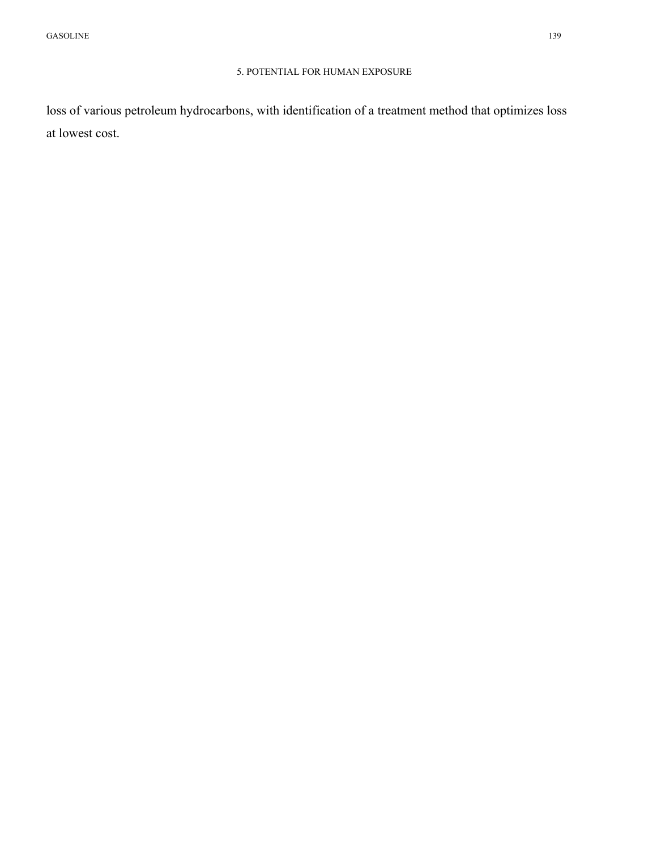loss of various petroleum hydrocarbons, with identification of a treatment method that optimizes loss at lowest cost.